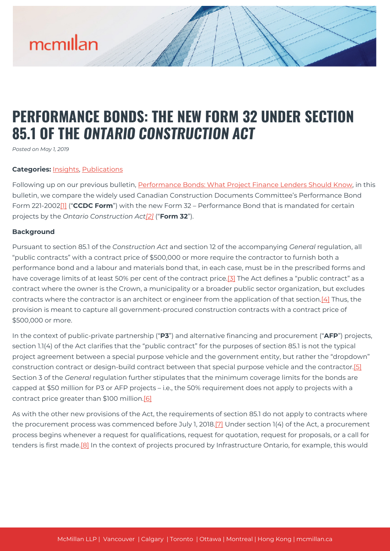### **PERFORMANCE BONDS: THE NEW FORM 32 UNDER SECTION 85.1 OF THE** *ONTARIO CONSTRUCTION ACT*

*Posted on May 1, 2019*

#### **Categories:** [Insights,](https://mcmillan.ca/insights/) [Publications](https://mcmillan.ca/insights/publications/)

Following up on our previous bulletin, [Performance Bonds: What Project Finance Lenders Should Know](https://mcmillan.ca/insights/draft-performance-bonds-what-project-finance-lenders-should-know/), in this bulletin, we compare the widely used Canadian Construction Documents Committee's Performance Bond Form 221-2002[\[1\]](#page--1-0) ("**CCDC Form**") with the new Form 32 – Performance Bond that is mandated for certain projects by the *Ontario Construction Act[\[2\]](#page--1-0)* ("**Form 32**").

#### **Background**

Pursuant to section 85.1 of the *Construction Act* and section 12 of the accompanying *General* regulation, all "public contracts" with a contract price of \$500,000 or more require the contractor to furnish both a performance bond and a labour and materials bond that, in each case, must be in the prescribed forms and have coverage limits of at least 50% per cent of the contract price.<sup>[3]</sup> The Act defines a "public contract" as a contract where the owner is the Crown, a municipality or a broader public sector organization, but excludes contracts where the contractor is an architect or engineer from the application of that section.[\[4\]](#page--1-0) Thus, the provision is meant to capture all government-procured construction contracts with a contract price of \$500,000 or more.

In the context of public-private partnership ("**P3**") and alternative financing and procurement ("**AFP**") projects, section 1.1(4) of the Act clarifies that the "public contract" for the purposes of section 85.1 is not the typical project agreement between a special purpose vehicle and the government entity, but rather the "dropdown" construction contract or design-build contract between that special purpose vehicle and the contractor[.\[5\]](#page--1-0) Section 3 of the *General* regulation further stipulates that the minimum coverage limits for the bonds are capped at \$50 million for P3 or AFP projects – i.e., the 50% requirement does not apply to projects with a contract price greater than \$100 million[.\[6\]](#page--1-0)

As with the other new provisions of the Act, the requirements of section 85.1 do not apply to contracts where the procurement process was commenced before July 1, 2018.<sup>[7]</sup> Under section 1(4) of the Act, a procurement process begins whenever a request for qualifications, request for quotation, request for proposals, or a call for tenders is first made[.\[8\]](#page--1-0) In the context of projects procured by Infrastructure Ontario, for example, this would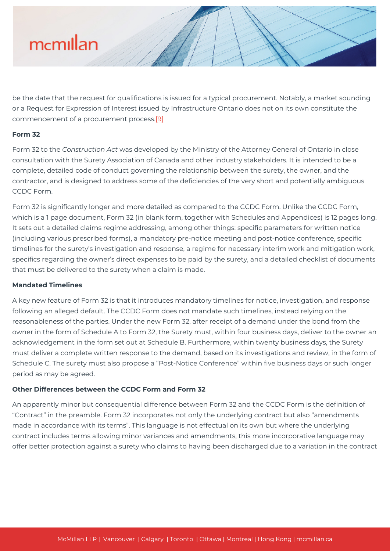be the date that the request for qualifications is issued for a typical procurement. Notably, a market sounding or a Request for Expression of Interest issued by Infrastructure Ontario does not on its own constitute the commencement of a procurement process[.\[9\]](#page--1-0)

#### **Form 32**

Form 32 to the *Construction Act* was developed by the Ministry of the Attorney General of Ontario in close consultation with the Surety Association of Canada and other industry stakeholders. It is intended to be a complete, detailed code of conduct governing the relationship between the surety, the owner, and the contractor, and is designed to address some of the deficiencies of the very short and potentially ambiguous CCDC Form.

Form 32 is significantly longer and more detailed as compared to the CCDC Form. Unlike the CCDC Form, which is a 1 page document, Form 32 (in blank form, together with Schedules and Appendices) is 12 pages long. It sets out a detailed claims regime addressing, among other things: specific parameters for written notice (including various prescribed forms), a mandatory pre-notice meeting and post-notice conference, specific timelines for the surety's investigation and response, a regime for necessary interim work and mitigation work, specifics regarding the owner's direct expenses to be paid by the surety, and a detailed checklist of documents that must be delivered to the surety when a claim is made.

#### **Mandated Timelines**

A key new feature of Form 32 is that it introduces mandatory timelines for notice, investigation, and response following an alleged default. The CCDC Form does not mandate such timelines, instead relying on the reasonableness of the parties. Under the new Form 32, after receipt of a demand under the bond from the owner in the form of Schedule A to Form 32, the Surety must, within four business days, deliver to the owner an acknowledgement in the form set out at Schedule B. Furthermore, within twenty business days, the Surety must deliver a complete written response to the demand, based on its investigations and review, in the form of Schedule C. The surety must also propose a "Post-Notice Conference" within five business days or such longer period as may be agreed.

#### **Other Differences between the CCDC Form and Form 32**

An apparently minor but consequential difference between Form 32 and the CCDC Form is the definition of "Contract" in the preamble. Form 32 incorporates not only the underlying contract but also "amendments made in accordance with its terms". This language is not effectual on its own but where the underlying contract includes terms allowing minor variances and amendments, this more incorporative language may offer better protection against a surety who claims to having been discharged due to a variation in the contract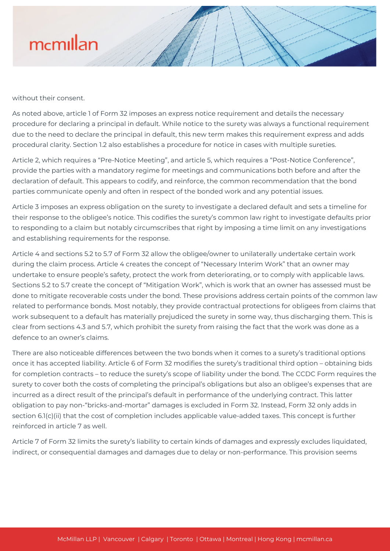without their consent.

As noted above, article 1 of Form 32 imposes an express notice requirement and details the necessary procedure for declaring a principal in default. While notice to the surety was always a functional requirement due to the need to declare the principal in default, this new term makes this requirement express and adds procedural clarity. Section 1.2 also establishes a procedure for notice in cases with multiple sureties.

Article 2, which requires a "Pre-Notice Meeting", and article 5, which requires a "Post-Notice Conference", provide the parties with a mandatory regime for meetings and communications both before and after the declaration of default. This appears to codify, and reinforce, the common recommendation that the bond parties communicate openly and often in respect of the bonded work and any potential issues.

Article 3 imposes an express obligation on the surety to investigate a declared default and sets a timeline for their response to the obligee's notice. This codifies the surety's common law right to investigate defaults prior to responding to a claim but notably circumscribes that right by imposing a time limit on any investigations and establishing requirements for the response.

Article 4 and sections 5.2 to 5.7 of Form 32 allow the obligee/owner to unilaterally undertake certain work during the claim process. Article 4 creates the concept of "Necessary Interim Work" that an owner may undertake to ensure people's safety, protect the work from deteriorating, or to comply with applicable laws. Sections 5.2 to 5.7 create the concept of "Mitigation Work", which is work that an owner has assessed must be done to mitigate recoverable costs under the bond. These provisions address certain points of the common law related to performance bonds. Most notably, they provide contractual protections for obligees from claims that work subsequent to a default has materially prejudiced the surety in some way, thus discharging them. This is clear from sections 4.3 and 5.7, which prohibit the surety from raising the fact that the work was done as a defence to an owner's claims.

There are also noticeable differences between the two bonds when it comes to a surety's traditional options once it has accepted liability. Article 6 of Form 32 modifies the surety's traditional third option – obtaining bids for completion contracts – to reduce the surety's scope of liability under the bond. The CCDC Form requires the surety to cover both the costs of completing the principal's obligations but also an obligee's expenses that are incurred as a direct result of the principal's default in performance of the underlying contract. This latter obligation to pay non-"bricks-and-mortar" damages is excluded in Form 32. Instead, Form 32 only adds in section 6.1(c)(ii) that the cost of completion includes applicable value-added taxes. This concept is further reinforced in article 7 as well.

Article 7 of Form 32 limits the surety's liability to certain kinds of damages and expressly excludes liquidated, indirect, or consequential damages and damages due to delay or non-performance. This provision seems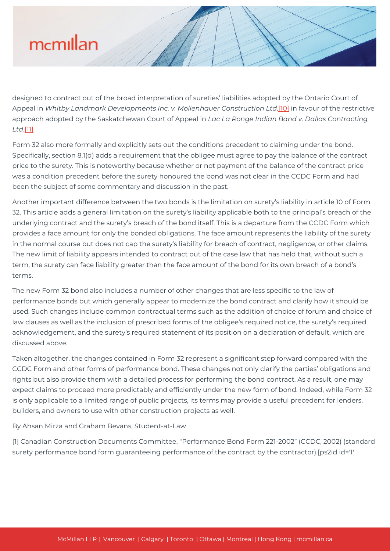designed to contract out of the broad interpretation of sureties' liabilities adopted by the Ontario Court of Appeal in *Whitby Landmark Developments Inc. v. Mollenhauer Construction Ltd*.[\[10\]](#page--1-0) in favour of the restrictive approach adopted by the Saskatchewan Court of Appeal in *Lac La Ronge Indian Band v. Dallas Contracting Ltd*.[\[11\]](#page--1-0)

Form 32 also more formally and explicitly sets out the conditions precedent to claiming under the bond. Specifically, section 8.1(d) adds a requirement that the obligee must agree to pay the balance of the contract price to the surety. This is noteworthy because whether or not payment of the balance of the contract price was a condition precedent before the surety honoured the bond was not clear in the CCDC Form and had been the subject of some commentary and discussion in the past.

Another important difference between the two bonds is the limitation on surety's liability in article 10 of Form 32. This article adds a general limitation on the surety's liability applicable both to the principal's breach of the underlying contract and the surety's breach of the bond itself. This is a departure from the CCDC Form which provides a face amount for only the bonded obligations. The face amount represents the liability of the surety in the normal course but does not cap the surety's liability for breach of contract, negligence, or other claims. The new limit of liability appears intended to contract out of the case law that has held that, without such a term, the surety can face liability greater than the face amount of the bond for its own breach of a bond's terms.

The new Form 32 bond also includes a number of other changes that are less specific to the law of performance bonds but which generally appear to modernize the bond contract and clarify how it should be used. Such changes include common contractual terms such as the addition of choice of forum and choice of law clauses as well as the inclusion of prescribed forms of the obligee's required notice, the surety's required acknowledgement, and the surety's required statement of its position on a declaration of default, which are discussed above.

Taken altogether, the changes contained in Form 32 represent a significant step forward compared with the CCDC Form and other forms of performance bond. These changes not only clarify the parties' obligations and rights but also provide them with a detailed process for performing the bond contract. As a result, one may expect claims to proceed more predictably and efficiently under the new form of bond. Indeed, while Form 32 is only applicable to a limited range of public projects, its terms may provide a useful precedent for lenders, builders, and owners to use with other construction projects as well.

By Ahsan Mirza and Graham Bevans, Student-at-Law

[1] Canadian Construction Documents Committee, "Performance Bond Form 221-2002" (CCDC, 2002) (standard surety performance bond form guaranteeing performance of the contract by the contractor).[ps2id id='1'